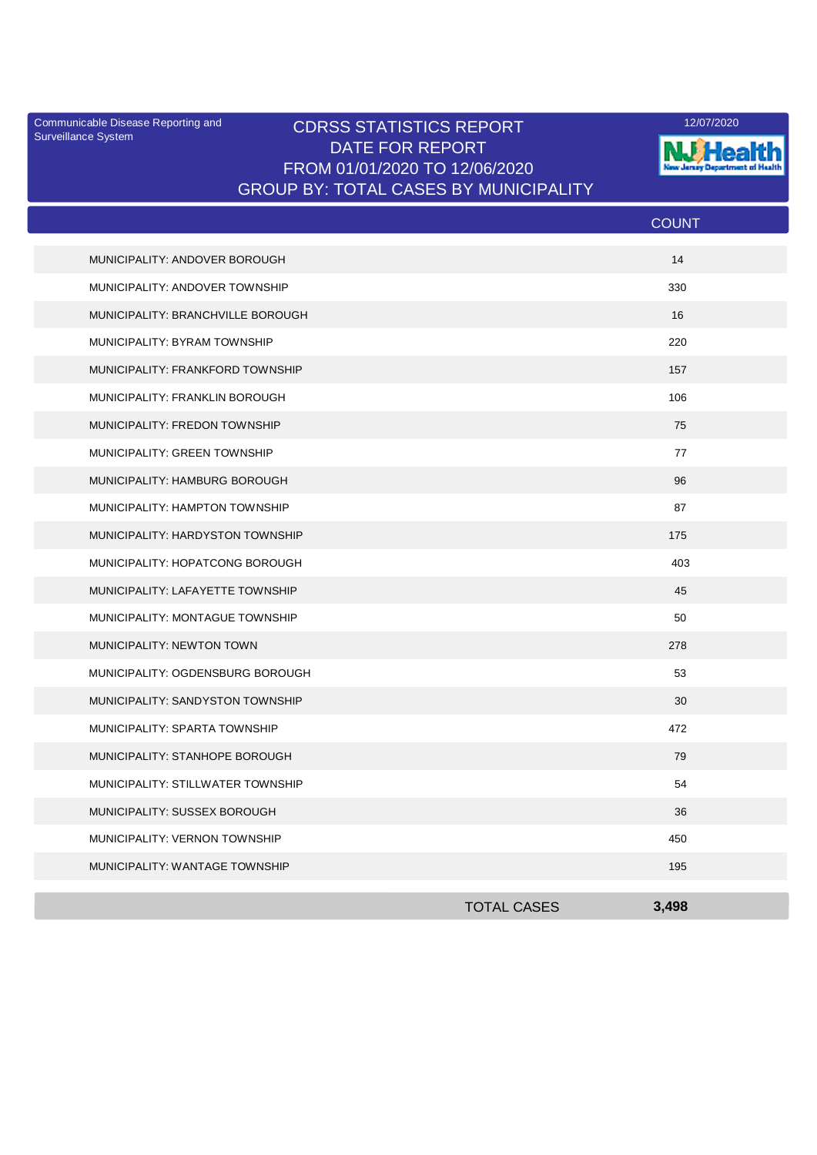Surveillance System

## Communicable Disease Reporting and **CDRSS STATISTICS REPORT** 12/07/2020<br>Surveillance Statem DATE FOR REPORT FROM 01/01/2020 TO 12/06/2020 GROUP BY: TOTAL CASES BY MUNICIPALITY



|                                   |                    | <b>COUNT</b> |  |
|-----------------------------------|--------------------|--------------|--|
| MUNICIPALITY: ANDOVER BOROUGH     |                    | 14           |  |
| MUNICIPALITY: ANDOVER TOWNSHIP    |                    | 330          |  |
| MUNICIPALITY: BRANCHVILLE BOROUGH |                    | 16           |  |
| MUNICIPALITY: BYRAM TOWNSHIP      |                    | 220          |  |
| MUNICIPALITY: FRANKFORD TOWNSHIP  |                    | 157          |  |
| MUNICIPALITY: FRANKLIN BOROUGH    |                    | 106          |  |
| MUNICIPALITY: FREDON TOWNSHIP     |                    | 75           |  |
| MUNICIPALITY: GREEN TOWNSHIP      |                    | 77           |  |
| MUNICIPALITY: HAMBURG BOROUGH     |                    | 96           |  |
| MUNICIPALITY: HAMPTON TOWNSHIP    |                    | 87           |  |
| MUNICIPALITY: HARDYSTON TOWNSHIP  |                    | 175          |  |
| MUNICIPALITY: HOPATCONG BOROUGH   |                    | 403          |  |
| MUNICIPALITY: LAFAYETTE TOWNSHIP  |                    | 45           |  |
| MUNICIPALITY: MONTAGUE TOWNSHIP   |                    | 50           |  |
| MUNICIPALITY: NEWTON TOWN         |                    | 278          |  |
| MUNICIPALITY: OGDENSBURG BOROUGH  |                    | 53           |  |
| MUNICIPALITY: SANDYSTON TOWNSHIP  |                    | 30           |  |
| MUNICIPALITY: SPARTA TOWNSHIP     |                    | 472          |  |
| MUNICIPALITY: STANHOPE BOROUGH    |                    | 79           |  |
| MUNICIPALITY: STILLWATER TOWNSHIP |                    | 54           |  |
| MUNICIPALITY: SUSSEX BOROUGH      |                    | 36           |  |
| MUNICIPALITY: VERNON TOWNSHIP     |                    | 450          |  |
| MUNICIPALITY: WANTAGE TOWNSHIP    |                    | 195          |  |
|                                   | <b>TOTAL CASES</b> | 3.498        |  |
|                                   |                    |              |  |